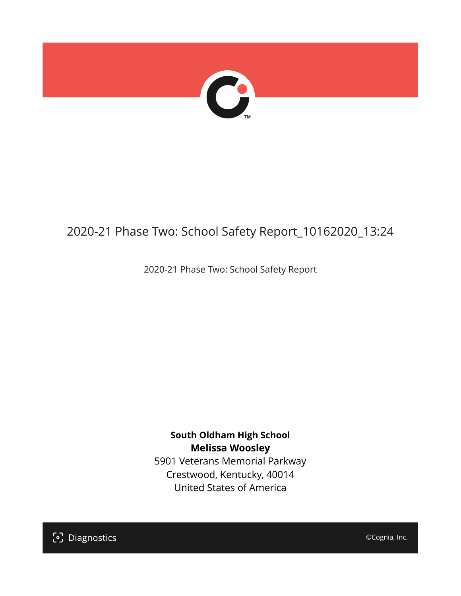

## 2020-21 Phase Two: School Safety Report\_10162020\_13:24

2020-21 Phase Two: School Safety Report

**South Oldham High School Melissa Woosley** 5901 Veterans Memorial Parkway Crestwood, Kentucky, 40014 United States of America

[၁] Diagnostics

©Cognia, Inc.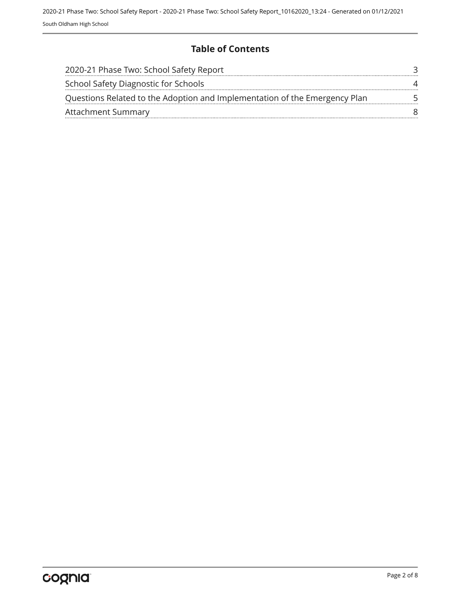### **Table of Contents**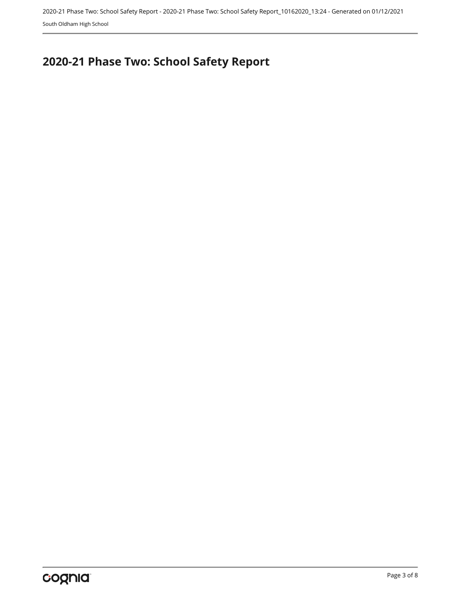2020-21 Phase Two: School Safety Report - 2020-21 Phase Two: School Safety Report\_10162020\_13:24 - Generated on 01/12/2021 South Oldham High School

# <span id="page-2-0"></span>**2020-21 Phase Two: School Safety Report**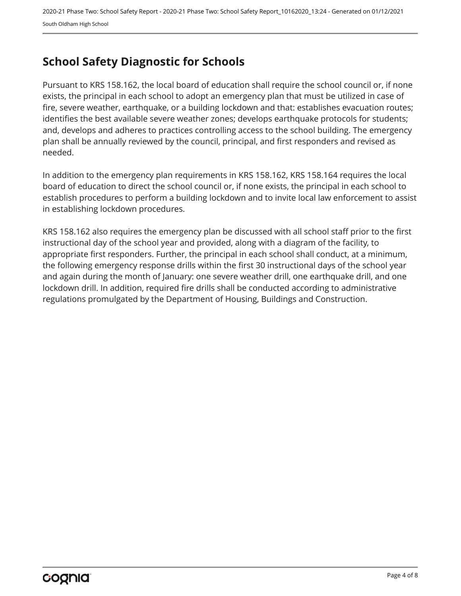## <span id="page-3-0"></span>**School Safety Diagnostic for Schools**

Pursuant to KRS 158.162, the local board of education shall require the school council or, if none exists, the principal in each school to adopt an emergency plan that must be utilized in case of fire, severe weather, earthquake, or a building lockdown and that: establishes evacuation routes; identifies the best available severe weather zones; develops earthquake protocols for students; and, develops and adheres to practices controlling access to the school building. The emergency plan shall be annually reviewed by the council, principal, and first responders and revised as needed.

In addition to the emergency plan requirements in KRS 158.162, KRS 158.164 requires the local board of education to direct the school council or, if none exists, the principal in each school to establish procedures to perform a building lockdown and to invite local law enforcement to assist in establishing lockdown procedures.

KRS 158.162 also requires the emergency plan be discussed with all school staff prior to the first instructional day of the school year and provided, along with a diagram of the facility, to appropriate first responders. Further, the principal in each school shall conduct, at a minimum, the following emergency response drills within the first 30 instructional days of the school year and again during the month of January: one severe weather drill, one earthquake drill, and one lockdown drill. In addition, required fire drills shall be conducted according to administrative regulations promulgated by the Department of Housing, Buildings and Construction.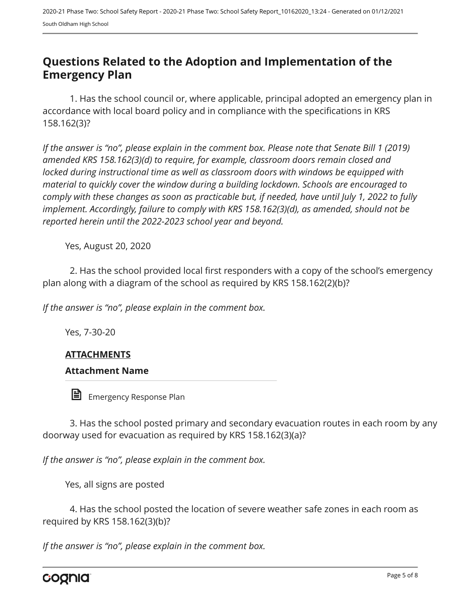## <span id="page-4-0"></span>**Questions Related to the Adoption and Implementation of the Emergency Plan**

1. Has the school council or, where applicable, principal adopted an emergency plan in accordance with local board policy and in compliance with the specifications in KRS 158.162(3)?

*If the answer is "no", please explain in the comment box. Please note that Senate Bill 1 (2019) amended KRS 158.162(3)(d) to require, for example, classroom doors remain closed and locked during instructional time as well as classroom doors with windows be equipped with material to quickly cover the window during a building lockdown. Schools are encouraged to comply with these changes as soon as practicable but, if needed, have until July 1, 2022 to fully implement. Accordingly, failure to comply with KRS 158.162(3)(d), as amended, should not be reported herein until the 2022-2023 school year and beyond.*

Yes, August 20, 2020

2. Has the school provided local first responders with a copy of the school's emergency plan along with a diagram of the school as required by KRS 158.162(2)(b)?

*If the answer is "no", please explain in the comment box.*

Yes, 7-30-20

#### **ATTACHMENTS**

#### **Attachment Name**

訚 Emergency Response Plan

3. Has the school posted primary and secondary evacuation routes in each room by any doorway used for evacuation as required by KRS 158.162(3)(a)?

*If the answer is "no", please explain in the comment box.*

Yes, all signs are posted

4. Has the school posted the location of severe weather safe zones in each room as required by KRS 158.162(3)(b)?

*If the answer is "no", please explain in the comment box.*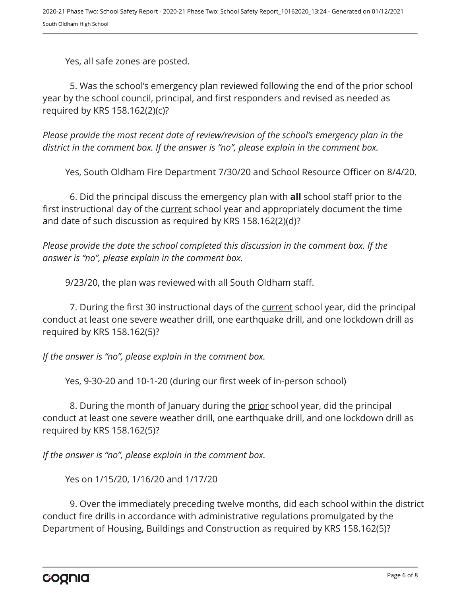Yes, all safe zones are posted.

5. Was the school's emergency plan reviewed following the end of the prior school year by the school council, principal, and first responders and revised as needed as required by KRS 158.162(2)(c)?

*Please provide the most recent date of review/revision of the school's emergency plan in the district in the comment box. If the answer is "no", please explain in the comment box.* 

Yes, South Oldham Fire Department 7/30/20 and School Resource Officer on 8/4/20.

6. Did the principal discuss the emergency plan with **all** school staff prior to the first instructional day of the current school year and appropriately document the time and date of such discussion as required by KRS 158.162(2)(d)?

*Please provide the date the school completed this discussion in the comment box. If the answer is "no", please explain in the comment box.*

9/23/20, the plan was reviewed with all South Oldham staff.

7. During the first 30 instructional days of the current school year, did the principal conduct at least one severe weather drill, one earthquake drill, and one lockdown drill as required by KRS 158.162(5)?

*If the answer is "no", please explain in the comment box.*

Yes, 9-30-20 and 10-1-20 (during our first week of in-person school)

8. During the month of January during the prior school year, did the principal conduct at least one severe weather drill, one earthquake drill, and one lockdown drill as required by KRS 158.162(5)?

*If the answer is "no", please explain in the comment box.*

Yes on 1/15/20, 1/16/20 and 1/17/20

9. Over the immediately preceding twelve months, did each school within the district conduct fire drills in accordance with administrative regulations promulgated by the Department of Housing, Buildings and Construction as required by KRS 158.162(5)?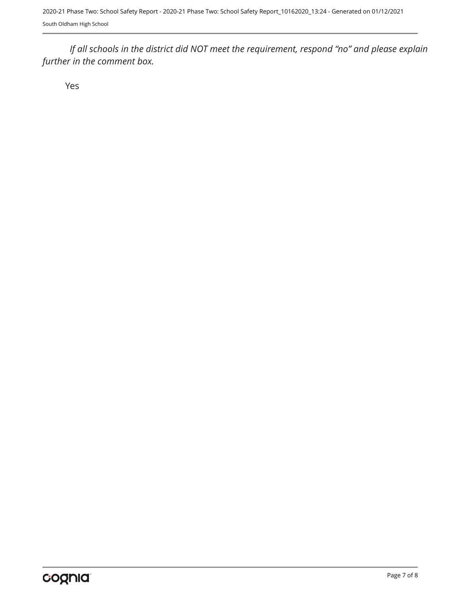*If all schools in the district did NOT meet the requirement, respond "no" and please explain further in the comment box.* 

Yes